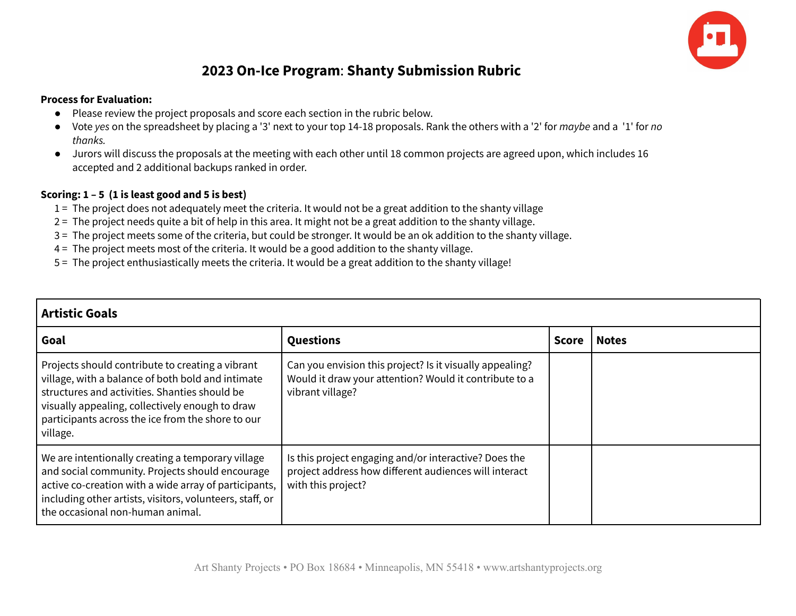

## **2023 On-Ice Program**: **Shanty Submission Rubric**

## **Process for Evaluation:**

- Please review the project proposals and score each section in the rubric below.
- Vote *yes* on the spreadsheet by placing a '3' next to your top 14-18 proposals. Rank the others with a '2' for *maybe* and a '1' for *no thanks.*
- Jurors will discuss the proposals at the meeting with each other until 18 common projects are agreed upon, which includes 16 accepted and 2 additional backups ranked in order.

## **Scoring: 1 – 5 (1 is least good and 5 is best)**

- 1 = The project does not adequately meet the criteria. It would not be a great addition to the shanty village
- 2 = The project needs quite a bit of help in this area. It might not be a great addition to the shanty village.
- 3 = The project meets some of the criteria, but could be stronger. It would be an ok addition to the shanty village.
- 4 = The project meets most of the criteria. It would be a good addition to the shanty village.
- 5 = The project enthusiastically meets the criteria. It would be a great addition to the shanty village!

| <b>Artistic Goals</b>                                                                                                                                                                                                                                                      |                                                                                                                                        |              |              |
|----------------------------------------------------------------------------------------------------------------------------------------------------------------------------------------------------------------------------------------------------------------------------|----------------------------------------------------------------------------------------------------------------------------------------|--------------|--------------|
| Goal                                                                                                                                                                                                                                                                       | <b>Questions</b>                                                                                                                       | <b>Score</b> | <b>Notes</b> |
| Projects should contribute to creating a vibrant<br>village, with a balance of both bold and intimate<br>structures and activities. Shanties should be<br>visually appealing, collectively enough to draw<br>participants across the ice from the shore to our<br>village. | Can you envision this project? Is it visually appealing?<br>Would it draw your attention? Would it contribute to a<br>vibrant village? |              |              |
| We are intentionally creating a temporary village<br>and social community. Projects should encourage<br>active co-creation with a wide array of participants,<br>including other artists, visitors, volunteers, staff, or<br>the occasional non-human animal.              | Is this project engaging and/or interactive? Does the<br>project address how different audiences will interact<br>with this project?   |              |              |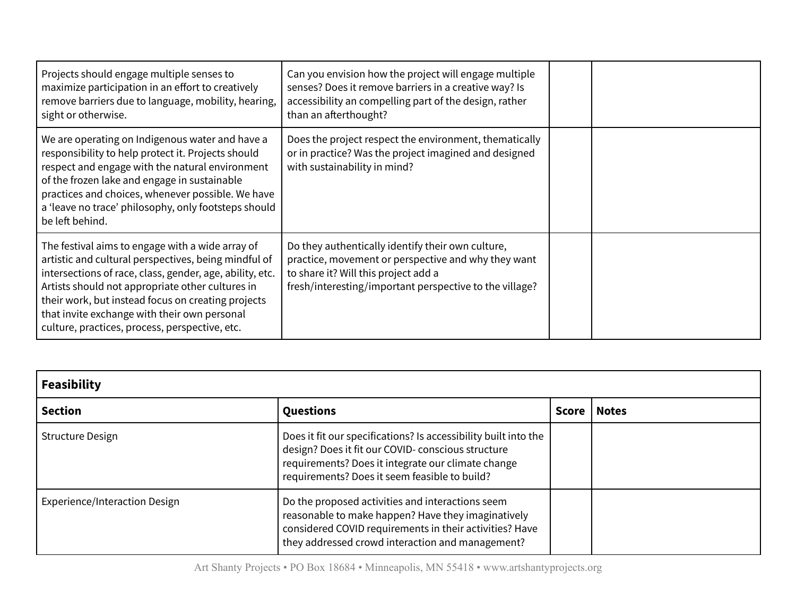| Projects should engage multiple senses to<br>maximize participation in an effort to creatively<br>remove barriers due to language, mobility, hearing,<br>sight or otherwise.                                                                                                                                                                                                     | Can you envision how the project will engage multiple<br>senses? Does it remove barriers in a creative way? Is<br>accessibility an compelling part of the design, rather<br>than an afterthought?           |  |
|----------------------------------------------------------------------------------------------------------------------------------------------------------------------------------------------------------------------------------------------------------------------------------------------------------------------------------------------------------------------------------|-------------------------------------------------------------------------------------------------------------------------------------------------------------------------------------------------------------|--|
| We are operating on Indigenous water and have a<br>responsibility to help protect it. Projects should<br>respect and engage with the natural environment<br>of the frozen lake and engage in sustainable<br>practices and choices, whenever possible. We have<br>a 'leave no trace' philosophy, only footsteps should<br>be left behind.                                         | Does the project respect the environment, thematically<br>or in practice? Was the project imagined and designed<br>with sustainability in mind?                                                             |  |
| The festival aims to engage with a wide array of<br>artistic and cultural perspectives, being mindful of<br>intersections of race, class, gender, age, ability, etc.<br>Artists should not appropriate other cultures in<br>their work, but instead focus on creating projects<br>that invite exchange with their own personal<br>culture, practices, process, perspective, etc. | Do they authentically identify their own culture,<br>practice, movement or perspective and why they want<br>to share it? Will this project add a<br>fresh/interesting/important perspective to the village? |  |

| <b>Feasibility</b>            |                                                                                                                                                                                                                              |       |              |
|-------------------------------|------------------------------------------------------------------------------------------------------------------------------------------------------------------------------------------------------------------------------|-------|--------------|
| <b>Section</b>                | Questions                                                                                                                                                                                                                    | Score | <b>Notes</b> |
| <b>Structure Design</b>       | Does it fit our specifications? Is accessibility built into the<br>design? Does it fit our COVID- conscious structure<br>requirements? Does it integrate our climate change<br>requirements? Does it seem feasible to build? |       |              |
| Experience/Interaction Design | Do the proposed activities and interactions seem<br>reasonable to make happen? Have they imaginatively<br>considered COVID requirements in their activities? Have<br>they addressed crowd interaction and management?        |       |              |